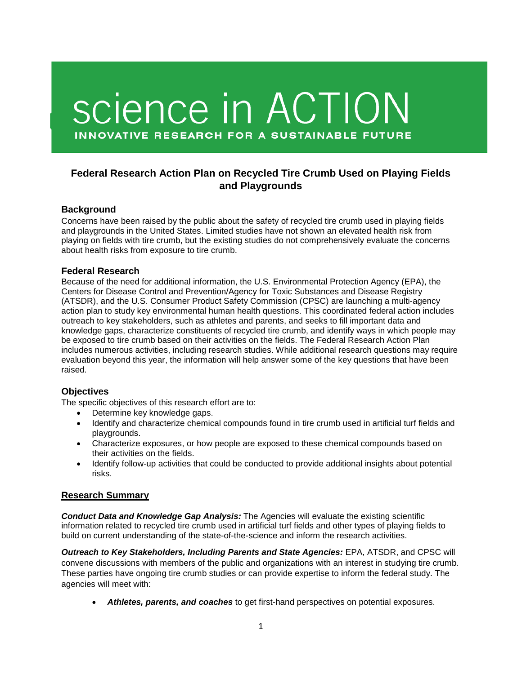# science in ACTION **INNOVATIVE RESEARCH FOR A SUSTAINABLE FUTURE**

## **Federal Research Action Plan on Recycled Tire Crumb Used on Playing Fields and Playgrounds**

### **Background**

Concerns have been raised by the public about the safety of recycled tire crumb used in playing fields and playgrounds in the United States. Limited studies have not shown an elevated health risk from playing on fields with tire crumb, but the existing studies do not comprehensively evaluate the concerns about health risks from exposure to tire crumb.

#### **Federal Research**

Because of the need for additional information, the U.S. Environmental Protection Agency (EPA), the Centers for Disease Control and Prevention/Agency for Toxic Substances and Disease Registry (ATSDR), and the U.S. Consumer Product Safety Commission (CPSC) are launching a multi-agency action plan to study key environmental human health questions. This coordinated federal action includes outreach to key stakeholders, such as athletes and parents, and seeks to fill important data and knowledge gaps, characterize constituents of recycled tire crumb, and identify ways in which people may be exposed to tire crumb based on their activities on the fields. The Federal Research Action Plan includes numerous activities, including research studies. While additional research questions may require evaluation beyond this year, the information will help answer some of the key questions that have been raised.

### **Objectives**

The specific objectives of this research effort are to:

- Determine key knowledge gaps.
- Identify and characterize chemical compounds found in tire crumb used in artificial turf fields and playgrounds.
- Characterize exposures, or how people are exposed to these chemical compounds based on their activities on the fields.
- Identify follow-up activities that could be conducted to provide additional insights about potential risks.

### **Research Summary**

*Conduct Data and Knowledge Gap Analysis:* The Agencies will evaluate the existing scientific information related to recycled tire crumb used in artificial turf fields and other types of playing fields to build on current understanding of the state-of-the-science and inform the research activities.

*Outreach to Key Stakeholders, Including Parents and State Agencies:* EPA, ATSDR, and CPSC will convene discussions with members of the public and organizations with an interest in studying tire crumb. These parties have ongoing tire crumb studies or can provide expertise to inform the federal study. The agencies will meet with:

• *Athletes, parents, and coaches* to get first-hand perspectives on potential exposures.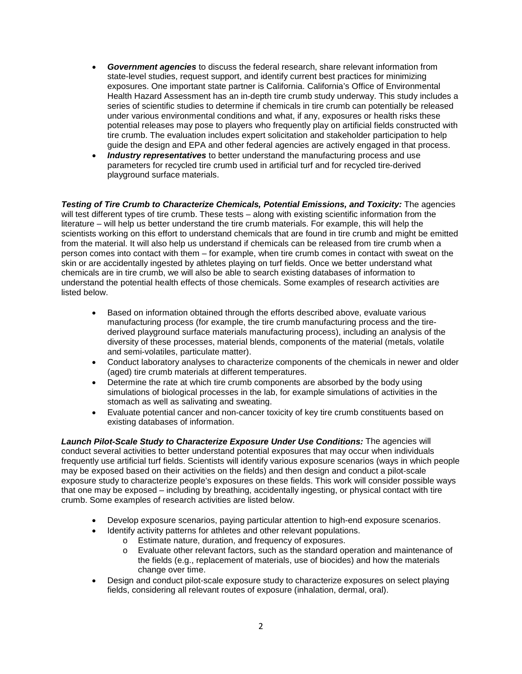- *Government agencies* to discuss the federal research, share relevant information from state-level studies, request support, and identify current best practices for minimizing exposures. One important state partner is California. California's Office of Environmental Health Hazard Assessment has an in-depth tire crumb study underway. This study includes a series of scientific studies to determine if chemicals in tire crumb can potentially be released under various environmental conditions and what, if any, exposures or health risks these potential releases may pose to players who frequently play on artificial fields constructed with tire crumb. The evaluation includes expert solicitation and stakeholder participation to help guide the design and EPA and other federal agencies are actively engaged in that process.
- *Industry representatives* to better understand the manufacturing process and use parameters for recycled tire crumb used in artificial turf and for recycled tire-derived playground surface materials.

*Testing of Tire Crumb to Characterize Chemicals, Potential Emissions, and Toxicity:* The agencies will test different types of tire crumb. These tests – along with existing scientific information from the literature – will help us better understand the tire crumb materials. For example, this will help the scientists working on this effort to understand chemicals that are found in tire crumb and might be emitted from the material. It will also help us understand if chemicals can be released from tire crumb when a person comes into contact with them – for example, when tire crumb comes in contact with sweat on the skin or are accidentally ingested by athletes playing on turf fields. Once we better understand what chemicals are in tire crumb, we will also be able to search existing databases of information to understand the potential health effects of those chemicals. Some examples of research activities are listed below.

- Based on information obtained through the efforts described above, evaluate various manufacturing process (for example, the tire crumb manufacturing process and the tirederived playground surface materials manufacturing process), including an analysis of the diversity of these processes, material blends, components of the material (metals, volatile and semi-volatiles, particulate matter).
- Conduct laboratory analyses to characterize components of the chemicals in newer and older (aged) tire crumb materials at different temperatures.
- Determine the rate at which tire crumb components are absorbed by the body using simulations of biological processes in the lab, for example simulations of activities in the stomach as well as salivating and sweating.
- Evaluate potential cancer and non-cancer toxicity of key tire crumb constituents based on existing databases of information.

*Launch Pilot-Scale Study to* **C***haracterize Exposure Under Use Conditions:* The agencies will conduct several activities to better understand potential exposures that may occur when individuals frequently use artificial turf fields. Scientists will identify various exposure scenarios (ways in which people may be exposed based on their activities on the fields) and then design and conduct a pilot-scale exposure study to characterize people's exposures on these fields. This work will consider possible ways that one may be exposed – including by breathing, accidentally ingesting, or physical contact with tire crumb. Some examples of research activities are listed below.

- Develop exposure scenarios, paying particular attention to high-end exposure scenarios.
- Identify activity patterns for athletes and other relevant populations.
	- o Estimate nature, duration, and frequency of exposures.
	- o Evaluate other relevant factors, such as the standard operation and maintenance of the fields (e.g., replacement of materials, use of biocides) and how the materials change over time.
- Design and conduct pilot-scale exposure study to characterize exposures on select playing fields, considering all relevant routes of exposure (inhalation, dermal, oral).